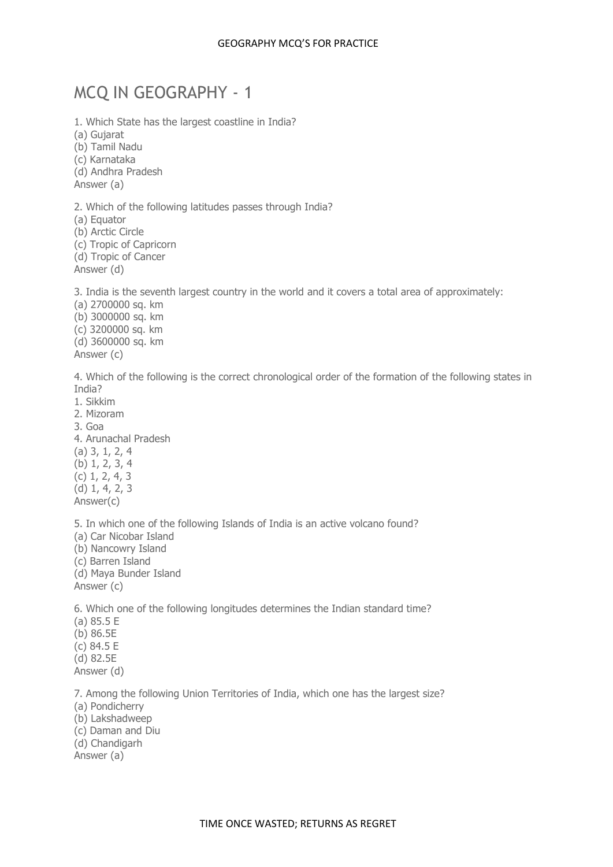# MCQ IN GEOGRAPHY - 1

1. Which State has the largest coastline in India? (a) Gujarat (b) Tamil Nadu (c) Karnataka (d) Andhra Pradesh Answer (a) 2. Which of the following latitudes passes through India? (a) Equator

(b) Arctic Circle

(c) Tropic of Capricorn (d) Tropic of Cancer

Answer (d)

3. India is the seventh largest country in the world and it covers a total area of approximately:

(a) 2700000 sq. km (b) 3000000 sq. km (c) 3200000 sq. km (d) 3600000 sq. km Answer (c)

4. Which of the following is the correct chronological order of the formation of the following states in India?

1. Sikkim

2. Mizoram

3. Goa

4. Arunachal Pradesh (a) 3, 1, 2, 4 (b) 1, 2, 3, 4 (c) 1, 2, 4, 3 (d) 1, 4, 2, 3 Answer(c)

5. In which one of the following Islands of India is an active volcano found? (a) Car Nicobar Island (b) Nancowry Island (c) Barren Island (d) Maya Bunder Island Answer (c)

6. Which one of the following longitudes determines the Indian standard time?

(a) 85.5 E (b) 86.5E (c) 84.5 E (d) 82.5E Answer (d)

7. Among the following Union Territories of India, which one has the largest size?

- (a) Pondicherry
- (b) Lakshadweep
- (c) Daman and Diu
- (d) Chandigarh

Answer (a)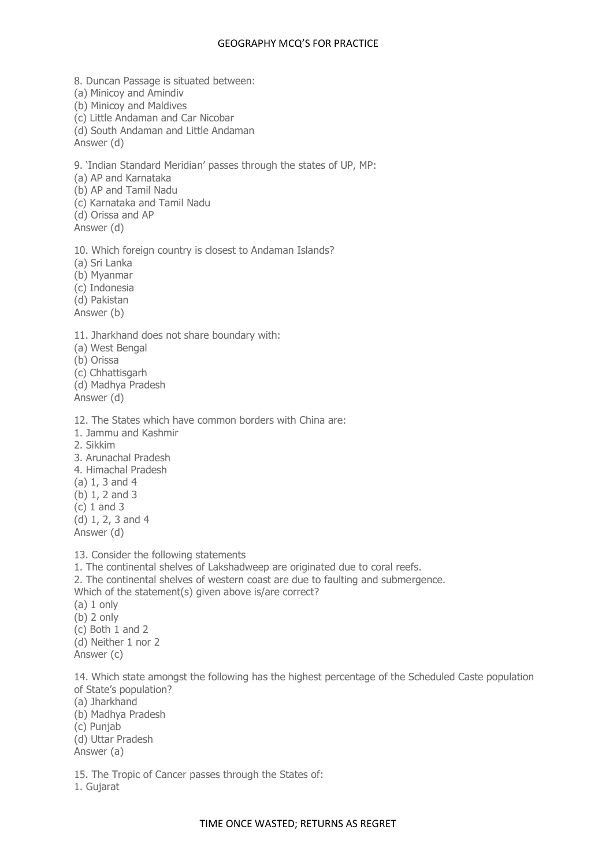8. Duncan Passage is situated between: (a) Minicoy and Amindiv (b) Minicoy and Maldives (c) Little Andaman and Car Nicobar (d) South Andaman and Little Andaman Answer (d) 9. 'Indian Standard Meridian' passes through the states of UP, MP: (a) AP and Karnataka (b) AP and Tamil Nadu (c) Karnataka and Tamil Nadu (d) Orissa and AP Answer (d) 10. Which foreign country is closest to Andaman Islands? (a) Sri Lanka (b) Myanmar (c) Indonesia (d) Pakistan Answer (b) 11. Jharkhand does not share boundary with: (a) West Bengal (b) Orissa (c) Chhattisgarh (d) Madhya Pradesh Answer (d) 12. The States which have common borders with China are: 1. Jammu and Kashmir 2. Sikkim 3. Arunachal Pradesh 4. Himachal Pradesh (a) 1, 3 and 4 (b) 1, 2 and 3 (c) 1 and 3 (d) 1, 2, 3 and 4 Answer (d) 13. Consider the following statements 1. The continental shelves of Lakshadweep are originated due to coral reefs. 2. The continental shelves of western coast are due to faulting and submergence. Which of the statement(s) given above is/are correct?  $(a) 1$  only (b) 2 only (c) Both 1 and 2 (d) Neither 1 nor 2 Answer (c) 14. Which state amongst the following has the highest percentage of the Scheduled Caste population of State's population? (a) Jharkhand

(b) Madhya Pradesh (c) Punjab

(d) Uttar Pradesh Answer (a)

15. The Tropic of Cancer passes through the States of: 1. Gujarat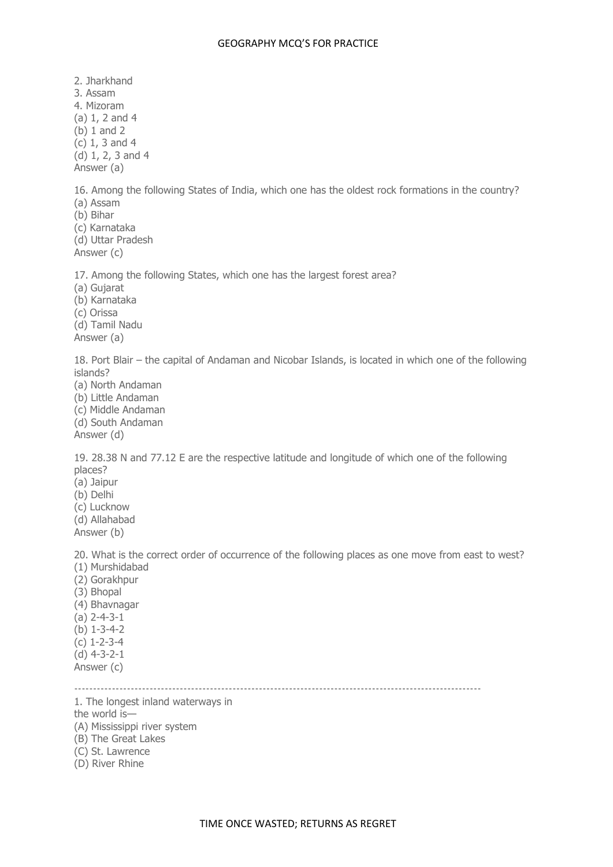2. Jharkhand 3. Assam 4. Mizoram (a) 1, 2 and 4 (b) 1 and 2 (c) 1, 3 and 4 (d) 1, 2, 3 and 4 Answer (a) 16. Among the following States of India, which one has the oldest rock formations in the country? (a) Assam (b) Bihar (c) Karnataka (d) Uttar Pradesh Answer (c) 17. Among the following States, which one has the largest forest area? (a) Gujarat (b) Karnataka (c) Orissa (d) Tamil Nadu Answer (a) 18. Port Blair – the capital of Andaman and Nicobar Islands, is located in which one of the following islands? (a) North Andaman (b) Little Andaman (c) Middle Andaman (d) South Andaman Answer (d) 19. 28.38 N and 77.12 E are the respective latitude and longitude of which one of the following places? (a) Jaipur (b) Delhi (c) Lucknow (d) Allahabad Answer (b) 20. What is the correct order of occurrence of the following places as one move from east to west? (1) Murshidabad (2) Gorakhpur (3) Bhopal (4) Bhavnagar (a) 2-4-3-1 (b) 1-3-4-2 (c) 1-2-3-4 (d) 4-3-2-1 Answer (c) ------------------------------------------------------------------------------------------------------------ 1. The longest inland waterways in the world is—

- (A) Mississippi river system
- (B) The Great Lakes
- (C) St. Lawrence
- (D) River Rhine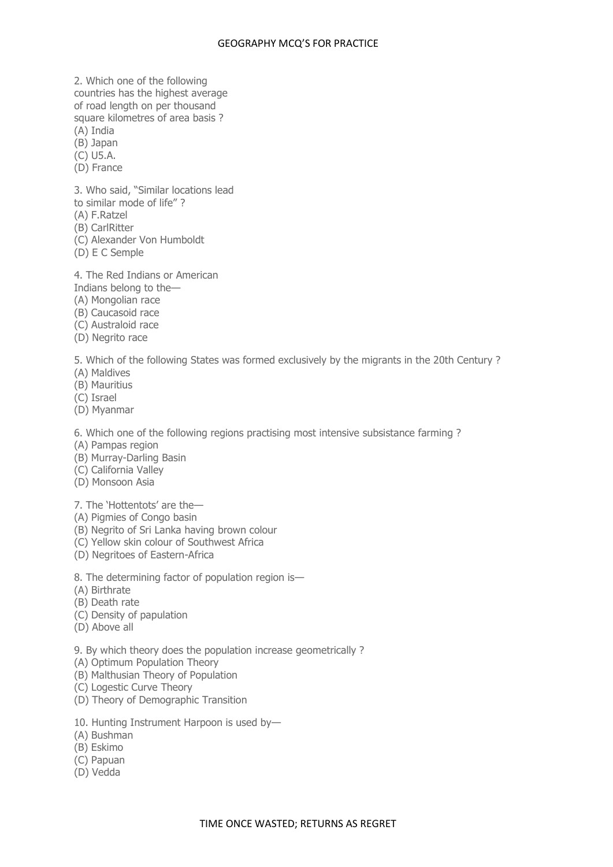2. Which one of the following countries has the highest average of road length on per thousand

square kilometres of area basis ?

(A) India

(B) Japan

(C) U5.A.

(D) France

3. Who said, "Similar locations lead

to similar mode of life" ?

- (A) F.Ratzel
- (B) CarlRitter
- (C) Alexander Von Humboldt
- (D) E C Semple

4. The Red Indians or American

- Indians belong to the—
- (A) Mongolian race
- (B) Caucasoid race
- (C) Australoid race
- (D) Negrito race

5. Which of the following States was formed exclusively by the migrants in the 20th Century ?

- (A) Maldives
- (B) Mauritius
- (C) Israel
- (D) Myanmar

6. Which one of the following regions practising most intensive subsistance farming ?

- (A) Pampas region
- (B) Murray-Darling Basin
- (C) California Valley
- (D) Monsoon Asia
- 7. The 'Hottentots' are the—
- (A) Pigmies of Congo basin
- (B) Negrito of Sri Lanka having brown colour
- (C) Yellow skin colour of Southwest Africa
- (D) Negritoes of Eastern-Africa
- 8. The determining factor of population region is—
- (A) Birthrate
- (B) Death rate
- (C) Density of papulation
- (D) Above all
- 9. By which theory does the population increase geometrically ?
- (A) Optimum Population Theory
- (B) Malthusian Theory of Population
- (C) Logestic Curve Theory
- (D) Theory of Demographic Transition
- 10. Hunting Instrument Harpoon is used by—
- (A) Bushman
- (B) Eskimo
- (C) Papuan
- (D) Vedda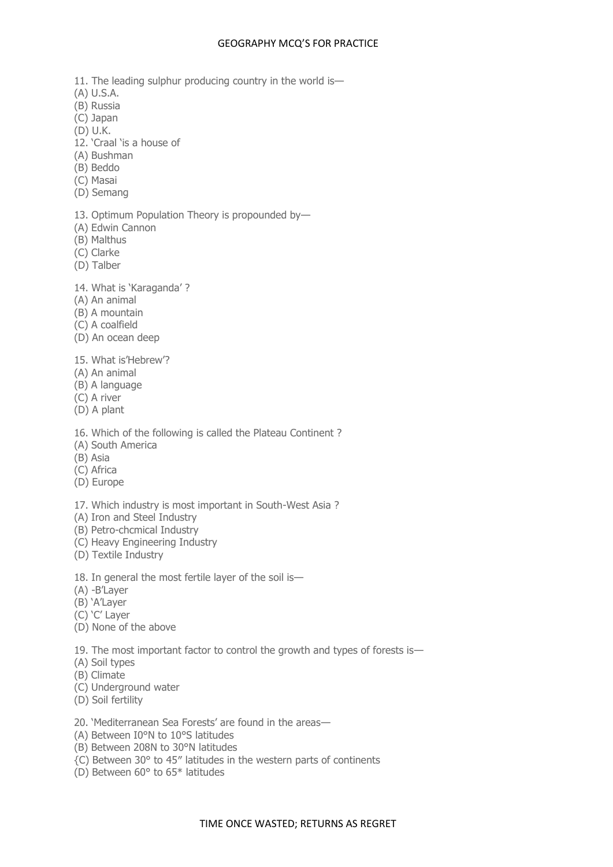- 11. The leading sulphur producing country in the world is—
- (A) U.S.A.
- (B) Russia
- (C) Japan
- (D) U.K.
- 12. 'Craal 'is a house of
- (A) Bushman
- (B) Beddo
- (C) Masai
- (D) Semang
- 13. Optimum Population Theory is propounded by—
- (A) Edwin Cannon
- (B) Malthus
- (C) Clarke
- (D) Talber
- 14. What is 'Karaganda' ?
- (A) An animal
- (B) A mountain
- (C) A coalfield
- (D) An ocean deep
- 15. What is'Hebrew'?
- (A) An animal
- (B) A language
- (C) A river
- (D) A plant
- 16. Which of the following is called the Plateau Continent ?
- (A) South America
- (B) Asia
- (C) Africa
- (D) Europe
- 17. Which industry is most important in South-West Asia ?
- (A) Iron and Steel Industry
- (B) Petro-chcmical Industry
- (C) Heavy Engineering Industry
- (D) Textile Industry
- 18. In general the most fertile layer of the soil is—
- (A) -B'Layer
- (B) 'A'Layer
- (C) 'C' Layer
- (D) None of the above
- 19. The most important factor to control the growth and types of forests is—
- (A) Soil types
- (B) Climate
- (C) Underground water
- (D) Soil fertility
- 20. 'Mediterranean Sea Forests' are found in the areas—
- (A) Between I0°N to 10°S latitudes
- (B) Between 208N to 30°N latitudes
- {C) Between 30° to 45″ latitudes in the western parts of continents
- (D) Between 60° to 65\* latitudes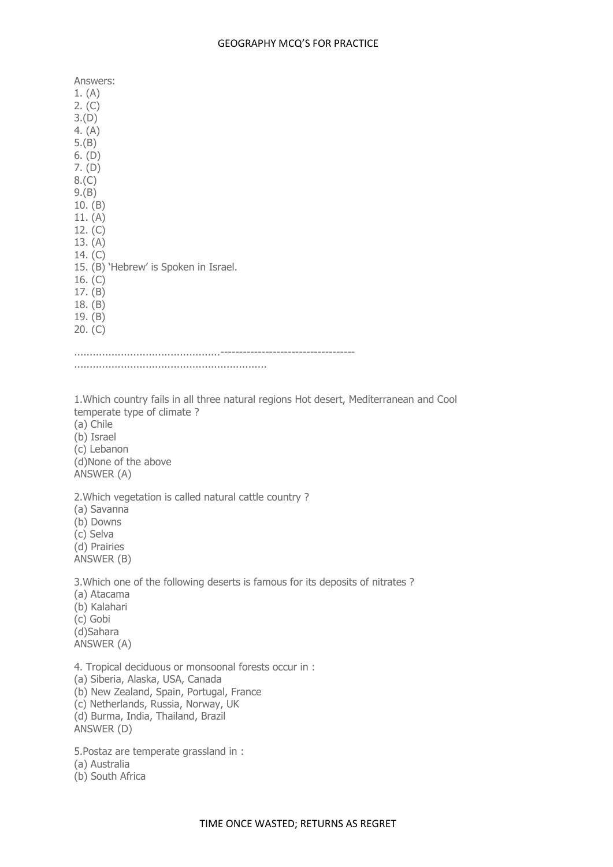Answers: 1. (A) 2. (C) 3.(D) 4. (A) 5.(B) 6. (D) 7. (D) 8.(C) 9.(B) 10. (B) 11. (A) 12. (C) 13. (A) 14. (C) 15. (B) 'Hebrew' is Spoken in Israel. 16. (C) 17. (B) 18. (B) 19. (B) 20. (C) ...............................................------------------------------------ .............................................................. 1.Which country fails in all three natural regions Hot desert, Mediterranean and Cool temperate type of climate ? (a) Chile (b) Israel (c) Lebanon (d)None of the above ANSWER (A) 2.Which vegetation is called natural cattle country ? (a) Savanna (b) Downs (c) Selva (d) Prairies ANSWER (B) 3.Which one of the following deserts is famous for its deposits of nitrates ? (a) Atacama (b) Kalahari (c) Gobi (d)Sahara ANSWER (A) 4. Tropical deciduous or monsoonal forests occur in : (a) Siberia, Alaska, USA, Canada (b) New Zealand, Spain, Portugal, France (c) Netherlands, Russia, Norway, UK (d) Burma, India, Thailand, Brazil ANSWER (D) 5.Postaz are temperate grassland in : (a) Australia

(b) South Africa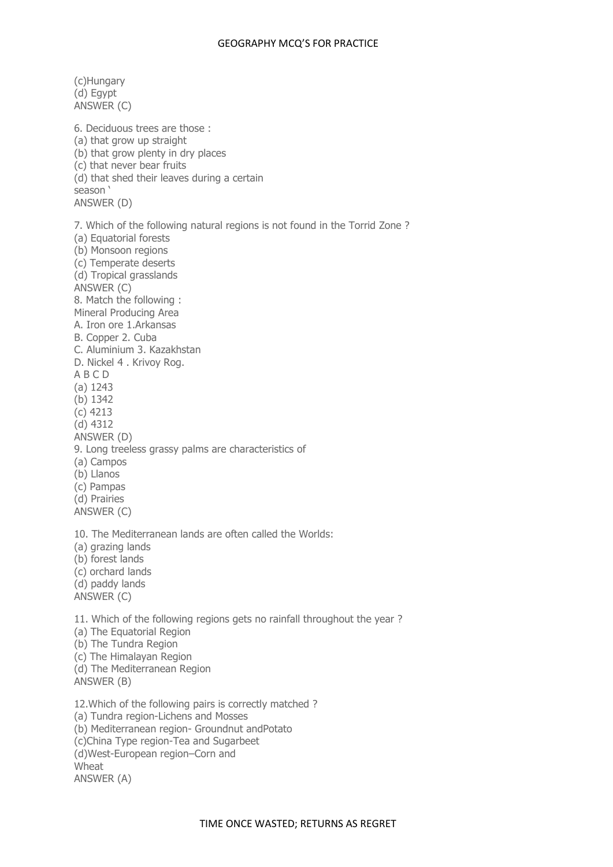(c)Hungary (d) Egypt ANSWER (C) 6. Deciduous trees are those : (a) that grow up straight (b) that grow plenty in dry places (c) that never bear fruits (d) that shed their leaves during a certain season ' ANSWER (D) 7. Which of the following natural regions is not found in the Torrid Zone ? (a) Equatorial forests (b) Monsoon regions (c) Temperate deserts (d) Tropical grasslands ANSWER (C) 8. Match the following : Mineral Producing Area A. Iron ore 1.Arkansas B. Copper 2. Cuba C. Aluminium 3. Kazakhstan D. Nickel 4 . Krivoy Rog. A B C D (a) 1243 (b) 1342 (c) 4213 (d) 4312 ANSWER (D) 9. Long treeless grassy palms are characteristics of (a) Campos (b) Llanos (c) Pampas (d) Prairies ANSWER (C) 10. The Mediterranean lands are often called the Worlds: (a) grazing lands (b) forest lands (c) orchard lands (d) paddy lands ANSWER (C) 11. Which of the following regions gets no rainfall throughout the year ? (a) The Equatorial Region (b) The Tundra Region (c) The Himalayan Region (d) The Mediterranean Region ANSWER (B) 12.Which of the following pairs is correctly matched ? (a) Tundra region-Lichens and Mosses (b) Mediterranean region- Groundnut andPotato (c)China Type region-Tea and Sugarbeet (d)West-European region–Corn and Wheat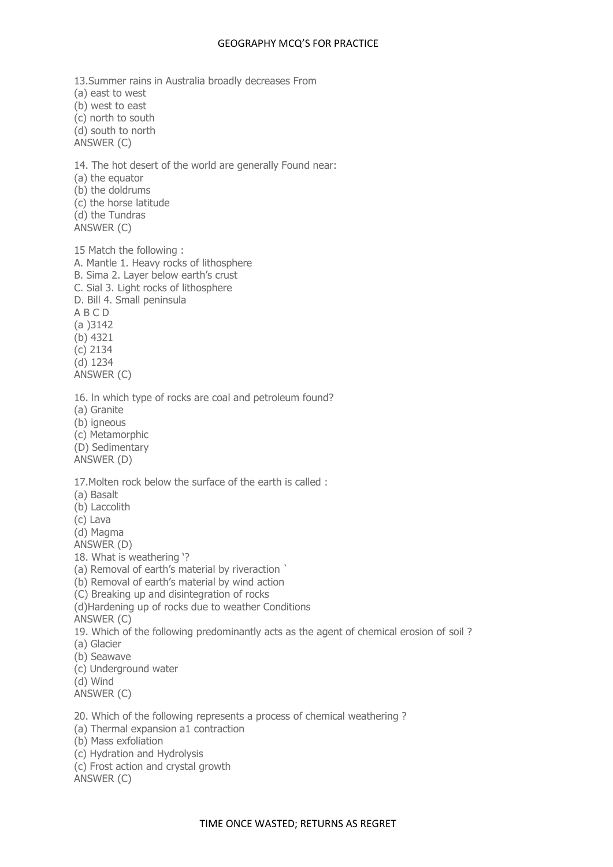13.Summer rains in Australia broadly decreases From (a) east to west (b) west to east (c) north to south (d) south to north ANSWER (C) 14. The hot desert of the world are generally Found near: (a) the equator (b) the doldrums (c) the horse latitude (d) the Tundras ANSWER (C) 15 Match the following : A. Mantle 1. Heavy rocks of lithosphere B. Sima 2. Layer below earth's crust C. Sial 3. Light rocks of lithosphere D. Bill 4. Small peninsula A B C D (a )3142 (b) 4321 (c) 2134 (d) 1234 ANSWER (C) 16. ln which type of rocks are coal and petroleum found? (a) Granite (b) igneous (c) Metamorphic (D) Sedimentary ANSWER (D) 17.Molten rock below the surface of the earth is called : (a) Basalt (b) Laccolith (c) Lava (d) Magma ANSWER (D) 18. What is weathering '? (a) Removal of earth's material by riveraction ` (b) Removal of earth's material by wind action (C) Breaking up and disintegration of rocks (d)Hardening up of rocks due to weather Conditions ANSWER (C) 19. Which of the following predominantly acts as the agent of chemical erosion of soil ? (a) Glacier (b) Seawave (c) Underground water (d) Wind ANSWER (C) 20. Which of the following represents a process of chemical weathering ? (a) Thermal expansion a1 contraction (b) Mass exfoliation (c) Hydration and Hydrolysis (c) Frost action and crystal growth

ANSWER (C)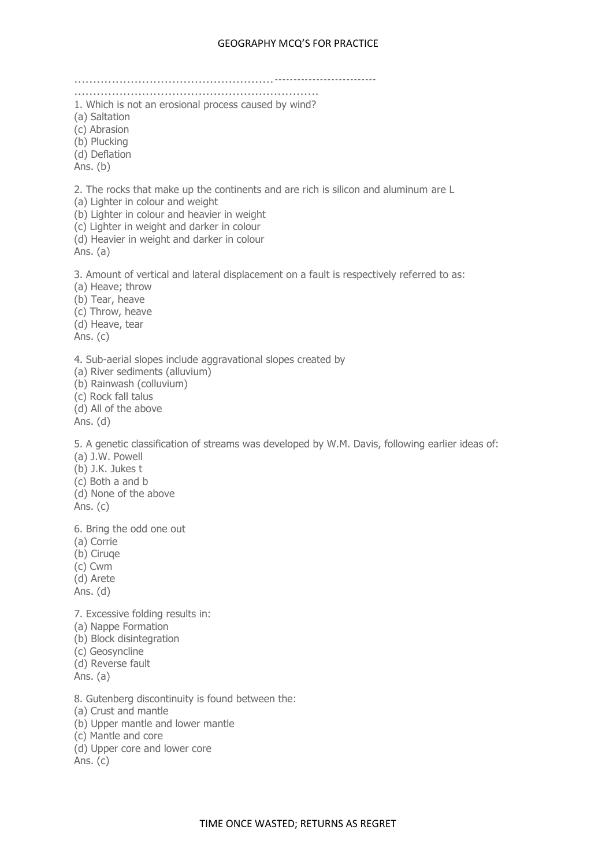.....................................................--------------------------- ................................................................. 1. Which is not an erosional process caused by wind? (a) Saltation (c) Abrasion (b) Plucking (d) Deflation Ans. (b) 2. The rocks that make up the continents and are rich is silicon and aluminum are L (a) Lighter in colour and weight (b) Lighter in colour and heavier in weight (c) Lighter in weight and darker in colour (d) Heavier in weight and darker in colour Ans. (a) 3. Amount of vertical and lateral displacement on a fault is respectively referred to as: (a) Heave; throw (b) Tear, heave (c) Throw, heave (d) Heave, tear Ans. (c) 4. Sub-aerial slopes include aggravational slopes created by (a) River sediments (alluvium) (b) Rainwash (colluvium) (c) Rock fall talus (d) All of the above Ans. (d) 5. A genetic classification of streams was developed by W.M. Davis, following earlier ideas of: (a) J.W. Powell (b) J.K. Jukes t (c) Both a and b (d) None of the above Ans. (c) 6. Bring the odd one out (a) Corrie (b) Ciruqe (c) Cwm (d) Arete Ans. (d) 7. Excessive folding results in: (a) Nappe Formation (b) Block disintegration (c) Geosyncline (d) Reverse fault Ans. (a) 8. Gutenberg discontinuity is found between the: (a) Crust and mantle (b) Upper mantle and lower mantle (c) Mantle and core (d) Upper core and lower core Ans. (c)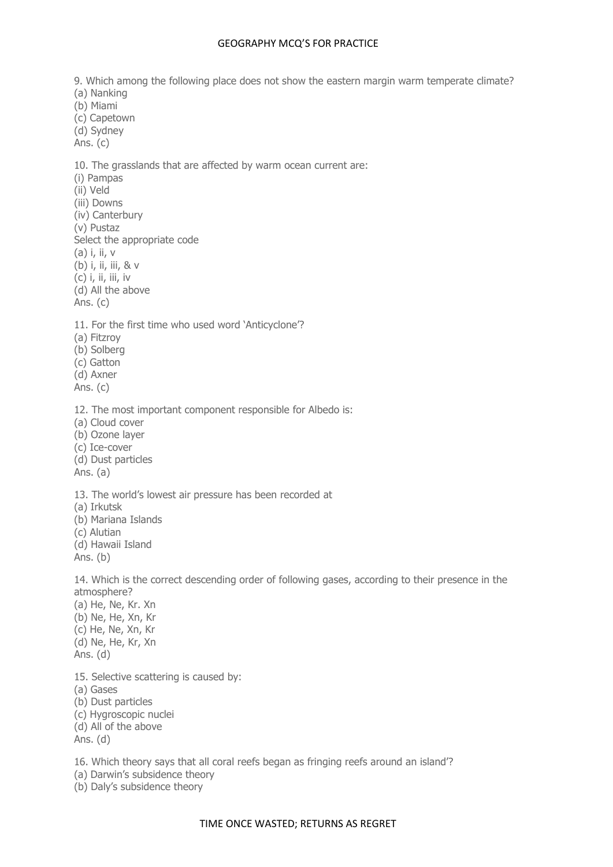9. Which among the following place does not show the eastern margin warm temperate climate? (a) Nanking (b) Miami (c) Capetown (d) Sydney Ans. (c) 10. The grasslands that are affected by warm ocean current are: (i) Pampas (ii) Veld (iii) Downs (iv) Canterbury (v) Pustaz Select the appropriate code (a) i, ii, v (b) i, ii, iii, & v  $(c)$  i, ii, iii, iv (d) All the above Ans. (c) 11. For the first time who used word 'Anticyclone'? (a) Fitzroy (b) Solberg (c) Gatton (d) Axner Ans. (c) 12. The most important component responsible for Albedo is: (a) Cloud cover (b) Ozone layer (c) Ice-cover (d) Dust particles Ans. (a) 13. The world's lowest air pressure has been recorded at (a) Irkutsk (b) Mariana Islands (c) Alutian (d) Hawaii Island Ans. (b) 14. Which is the correct descending order of following gases, according to their presence in the atmosphere? (a) He, Ne, Kr. Xn (b) Ne, He, Xn, Kr (c) He, Ne, Xn, Kr (d) Ne, He, Kr, Xn Ans. (d) 15. Selective scattering is caused by: (a) Gases (b) Dust particles (c) Hygroscopic nuclei (d) All of the above Ans. (d)

16. Which theory says that all coral reefs began as fringing reefs around an island'?

(a) Darwin's subsidence theory

(b) Daly's subsidence theory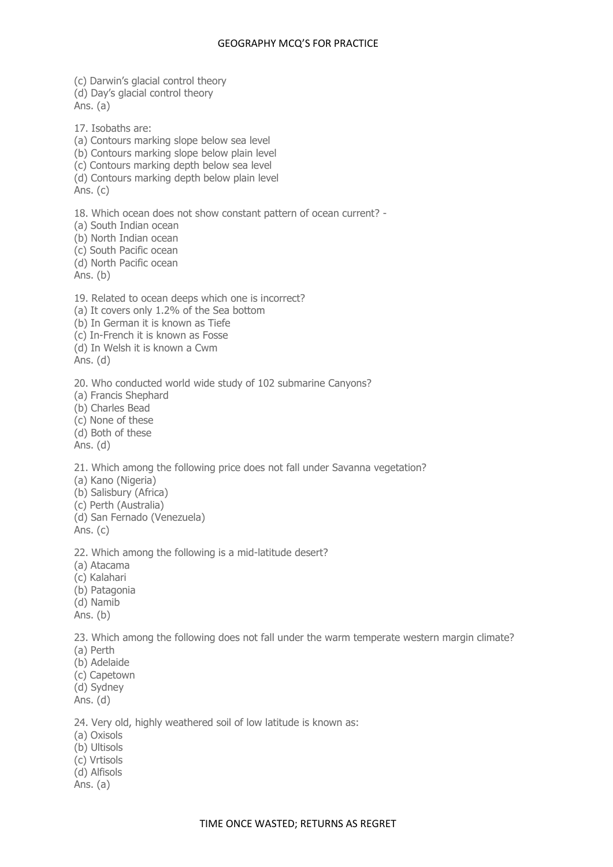(c) Darwin's glacial control theory (d) Day's glacial control theory Ans. (a) 17. Isobaths are: (a) Contours marking slope below sea level (b) Contours marking slope below plain level (c) Contours marking depth below sea level (d) Contours marking depth below plain level Ans. (c) 18. Which ocean does not show constant pattern of ocean current? - (a) South Indian ocean (b) North Indian ocean (c) South Pacific ocean (d) North Pacific ocean Ans. (b) 19. Related to ocean deeps which one is incorrect? (a) It covers only 1.2% of the Sea bottom (b) In German it is known as Tiefe (c) In-French it is known as Fosse (d) In Welsh it is known a Cwm Ans. (d) 20. Who conducted world wide study of 102 submarine Canyons? (a) Francis Shephard (b) Charles Bead (c) None of these (d) Both of these Ans. (d) 21. Which among the following price does not fall under Savanna vegetation? (a) Kano (Nigeria) (b) Salisbury (Africa) (c) Perth (Australia) (d) San Fernado (Venezuela) Ans. (c) 22. Which among the following is a mid-latitude desert? (a) Atacama (c) Kalahari (b) Patagonia (d) Namib Ans. (b) 23. Which among the following does not fall under the warm temperate western margin climate? (a) Perth (b) Adelaide (c) Capetown (d) Sydney Ans. (d) 24. Very old, highly weathered soil of low latitude is known as: (a) Oxisols (b) Ultisols (c) Vrtisols (d) Alfisols Ans. (a)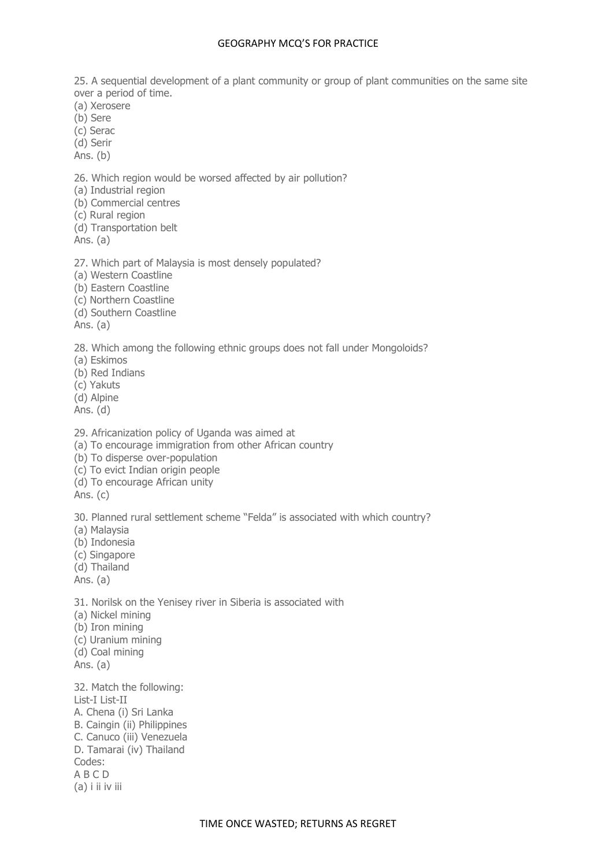25. A sequential development of a plant community or group of plant communities on the same site over a period of time.

(a) Xerosere

(b) Sere

(c) Serac

(d) Serir

Ans. (b)

26. Which region would be worsed affected by air pollution?

(a) Industrial region

(b) Commercial centres

(c) Rural region

(d) Transportation belt

Ans. (a)

27. Which part of Malaysia is most densely populated?

(a) Western Coastline

(b) Eastern Coastline

(c) Northern Coastline

(d) Southern Coastline

Ans. (a)

28. Which among the following ethnic groups does not fall under Mongoloids?

(a) Eskimos

(b) Red Indians

(c) Yakuts

(d) Alpine

Ans. (d)

29. Africanization policy of Uganda was aimed at

(a) To encourage immigration from other African country

(b) To disperse over-population

(c) To evict Indian origin people

(d) To encourage African unity

Ans. (c)

30. Planned rural settlement scheme "Felda" is associated with which country?

(a) Malaysia

(b) Indonesia

(c) Singapore

(d) Thailand

Ans. (a)

31. Norilsk on the Yenisey river in Siberia is associated with

(a) Nickel mining

(b) Iron mining

(c) Uranium mining

(d) Coal mining

Ans. (a)

32. Match the following: List-I List-II A. Chena (i) Sri Lanka B. Caingin (ii) Philippines C. Canuco (iii) Venezuela D. Tamarai (iv) Thailand Codes: A B C D (a) i ii iv iii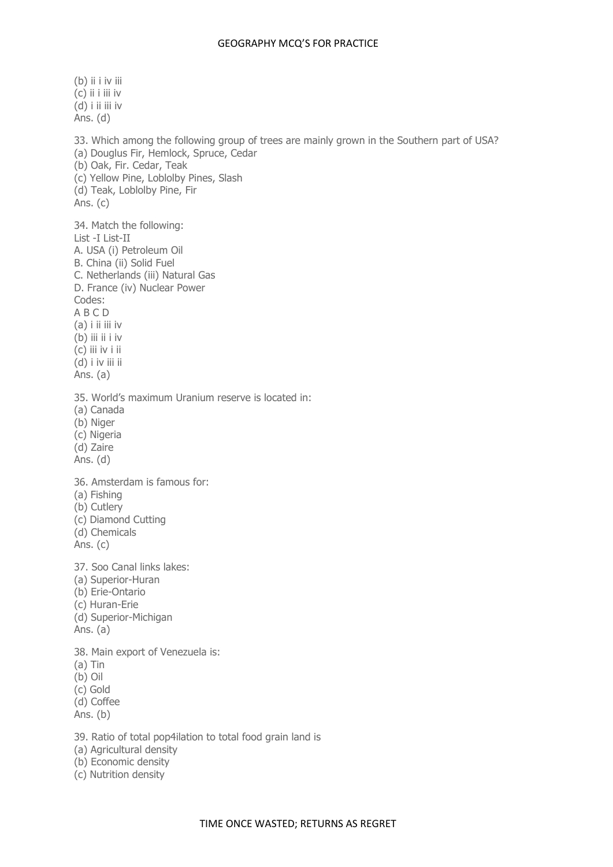(b) ii i iv iii (c) ii i iii iv  $(d)$  i ii iii iv Ans. (d) 33. Which among the following group of trees are mainly grown in the Southern part of USA? (a) Douglus Fir, Hemlock, Spruce, Cedar (b) Oak, Fir. Cedar, Teak (c) Yellow Pine, Loblolby Pines, Slash (d) Teak, Loblolby Pine, Fir Ans. (c) 34. Match the following: List -I List-II A. USA (i) Petroleum Oil B. China (ii) Solid Fuel C. Netherlands (iii) Natural Gas D. France (iv) Nuclear Power Codes: A B C D (a) i ii iii iv (b) iii ii i iv (c) iii iv i ii (d) i iv iii ii Ans. (a) 35. World's maximum Uranium reserve is located in: (a) Canada (b) Niger (c) Nigeria (d) Zaire Ans. (d) 36. Amsterdam is famous for: (a) Fishing (b) Cutlery (c) Diamond Cutting (d) Chemicals Ans. (c) 37. Soo Canal links lakes: (a) Superior-Huran (b) Erie-Ontario (c) Huran-Erie (d) Superior-Michigan Ans. (a) 38. Main export of Venezuela is: (a) Tin (b) Oil (c) Gold (d) Coffee Ans. (b) 39. Ratio of total pop4ilation to total food grain land is (a) Agricultural density

- (b) Economic density
- (c) Nutrition density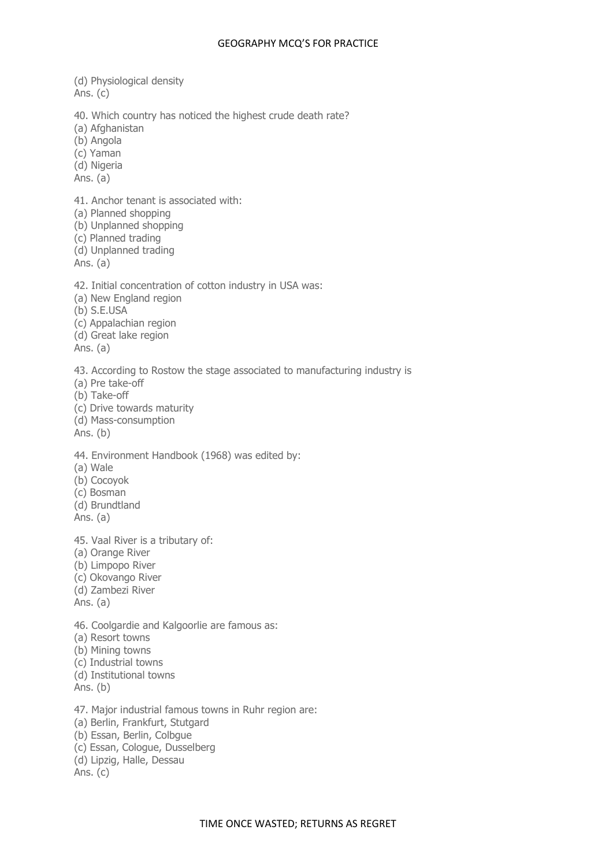(d) Physiological density Ans. (c) 40. Which country has noticed the highest crude death rate? (a) Afghanistan (b) Angola (c) Yaman (d) Nigeria Ans. (a) 41. Anchor tenant is associated with: (a) Planned shopping (b) Unplanned shopping (c) Planned trading (d) Unplanned trading Ans. (a) 42. Initial concentration of cotton industry in USA was: (a) New England region (b) S.E.USA (c) Appalachian region (d) Great lake region Ans. (a) 43. According to Rostow the stage associated to manufacturing industry is (a) Pre take-off (b) Take-off (c) Drive towards maturity (d) Mass-consumption Ans. (b) 44. Environment Handbook (1968) was edited by: (a) Wale (b) Cocoyok (c) Bosman (d) Brundtland Ans. (a) 45. Vaal River is a tributary of: (a) Orange River (b) Limpopo River (c) Okovango River (d) Zambezi River Ans. (a) 46. Coolgardie and Kalgoorlie are famous as: (a) Resort towns (b) Mining towns (c) Industrial towns (d) Institutional towns Ans. (b) 47. Major industrial famous towns in Ruhr region are: (a) Berlin, Frankfurt, Stutgard (b) Essan, Berlin, Colbgue (c) Essan, Cologue, Dusselberg (d) Lipzig, Halle, Dessau Ans. (c)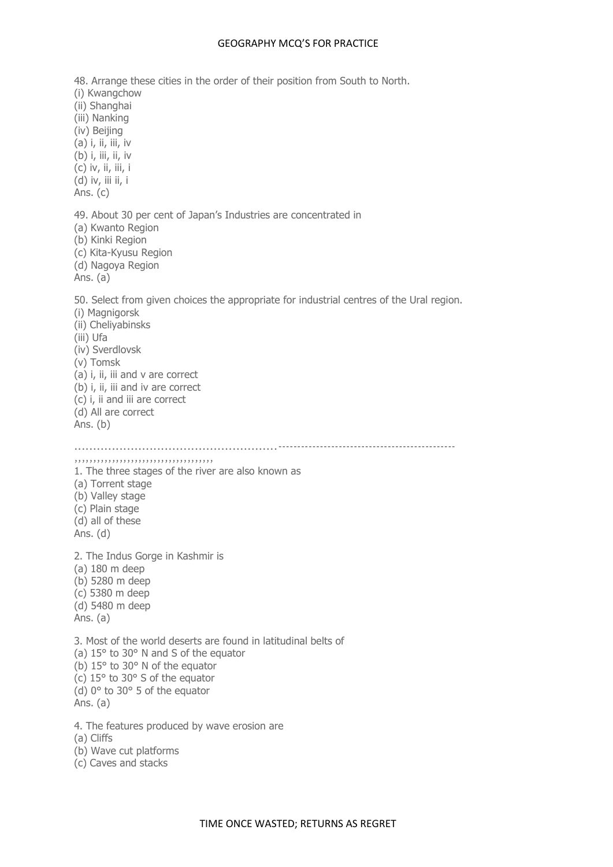48. Arrange these cities in the order of their position from South to North. (i) Kwangchow (ii) Shanghai (iii) Nanking (iv) Beijing (a) i, ii, iii, iv (b) *i*, *iii*, *ii*, *iv* (c) iv, ii, iii, i (d) iv, iii ii, i Ans. (c) 49. About 30 per cent of Japan's Industries are concentrated in (a) Kwanto Region (b) Kinki Region (c) Kita-Kyusu Region (d) Nagoya Region Ans. (a) 50. Select from given choices the appropriate for industrial centres of the Ural region. (i) Magnigorsk (ii) Cheliyabinsks (iii) Ufa (iv) Sverdlovsk (v) Tomsk (a) i, ii, iii and v are correct (b) i, ii, iii and iv are correct (c) i, ii and iii are correct (d) All are correct Ans. (b) ......................................................----------------------------------------------- ,,,,,,,,,,,,,,,,,,,,,,,,,,,,,,,,,,,,, 1. The three stages of the river are also known as (a) Torrent stage (b) Valley stage (c) Plain stage (d) all of these Ans. (d) 2. The Indus Gorge in Kashmir is (a) 180 m deep (b) 5280 m deep (c) 5380 m deep (d) 5480 m deep Ans. (a) 3. Most of the world deserts are found in latitudinal belts of (a) 15° to 30° N and S of the equator (b) 15° to 30° N of the equator (c) 15° to 30° S of the equator (d) 0° to 30° 5 of the equator Ans. (a) 4. The features produced by wave erosion are (a) Cliffs (b) Wave cut platforms

(c) Caves and stacks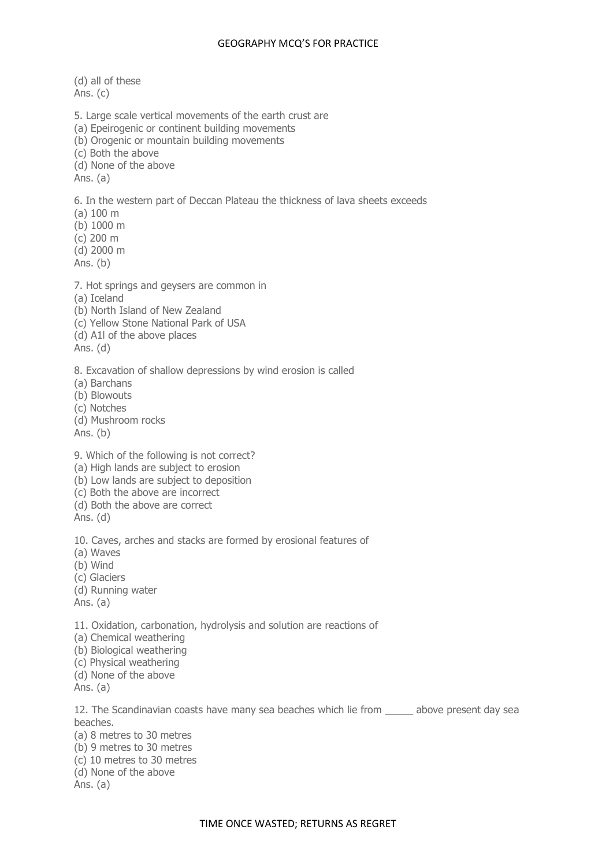(d) all of these Ans. (c) 5. Large scale vertical movements of the earth crust are (a) Epeirogenic or continent building movements (b) Orogenic or mountain building movements (c) Both the above (d) None of the above Ans. (a) 6. In the western part of Deccan Plateau the thickness of lava sheets exceeds (a) 100 m (b) 1000 m (c) 200 m (d) 2000 m Ans. (b) 7. Hot springs and geysers are common in (a) Iceland (b) North Island of New Zealand (c) Yellow Stone National Park of USA (d) A1l of the above places Ans. (d) 8. Excavation of shallow depressions by wind erosion is called (a) Barchans (b) Blowouts (c) Notches (d) Mushroom rocks Ans. (b) 9. Which of the following is not correct? (a) High lands are subject to erosion (b) Low lands are subject to deposition (c) Both the above are incorrect (d) Both the above are correct Ans. (d) 10. Caves, arches and stacks are formed by erosional features of (a) Waves (b) Wind (c) Glaciers (d) Running water Ans. (a) 11. Oxidation, carbonation, hydrolysis and solution are reactions of (a) Chemical weathering (b) Biological weathering (c) Physical weathering (d) None of the above Ans. (a) 12. The Scandinavian coasts have many sea beaches which lie from \_\_\_\_\_ above present day sea beaches. (a) 8 metres to 30 metres (b) 9 metres to 30 metres

- (c) 10 metres to 30 metres
- (d) None of the above

Ans. (a)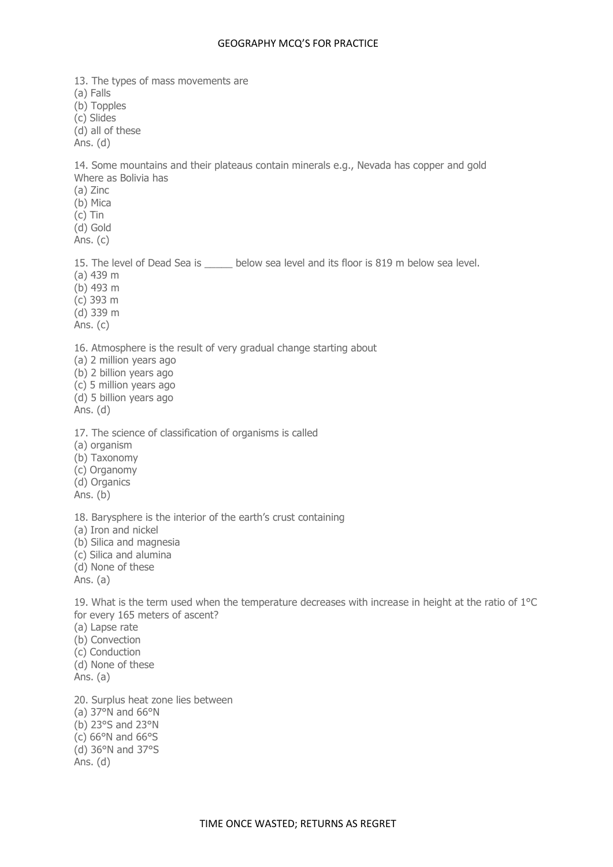13. The types of mass movements are (a) Falls (b) Topples (c) Slides (d) all of these Ans. (d) 14. Some mountains and their plateaus contain minerals e.g., Nevada has copper and gold Where as Bolivia has (a) Zinc (b) Mica (c) Tin (d) Gold Ans. (c) 15. The level of Dead Sea is below sea level and its floor is 819 m below sea level. (a) 439 m (b) 493 m (c) 393 m (d) 339 m Ans. (c) 16. Atmosphere is the result of very gradual change starting about (a) 2 million years ago (b) 2 billion years ago (c) 5 million years ago (d) 5 billion years ago Ans. (d) 17. The science of classification of organisms is called (a) organism (b) Taxonomy (c) Organomy (d) Organics Ans. (b) 18. Barysphere is the interior of the earth's crust containing (a) Iron and nickel (b) Silica and magnesia (c) Silica and alumina (d) None of these Ans. (a) 19. What is the term used when the temperature decreases with increase in height at the ratio of 1°C for every 165 meters of ascent? (a) Lapse rate (b) Convection (c) Conduction (d) None of these Ans. (a) 20. Surplus heat zone lies between (a) 37°N and 66°N (b) 23°S and 23°N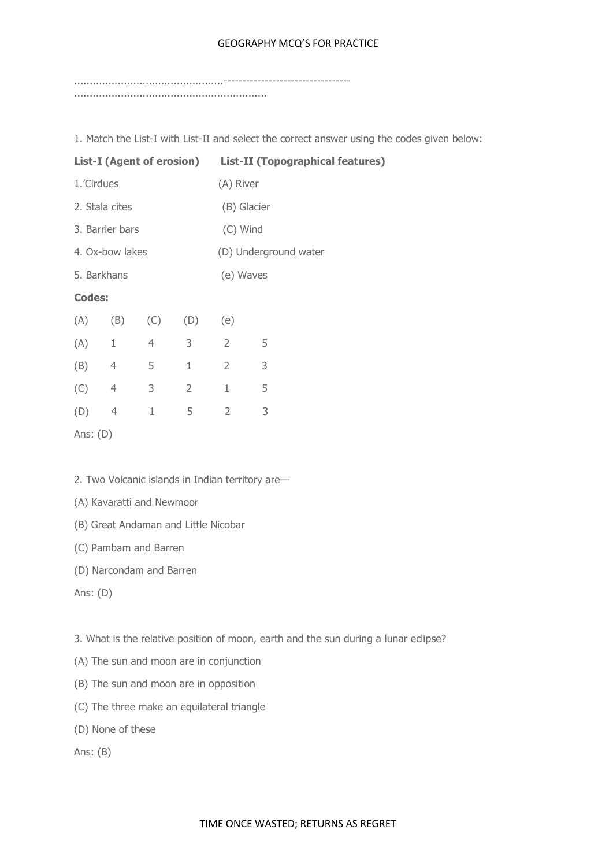................................................---------------------------------- ..............................................................

1. Match the List-I with List-II and select the correct answer using the codes given below:

| <b>List-I (Agent of erosion)</b> |                |                |                | List-II (Topographical features) |             |  |  |
|----------------------------------|----------------|----------------|----------------|----------------------------------|-------------|--|--|
| 1.'Cirdues                       |                |                |                | (A) River                        |             |  |  |
| 2. Stala cites                   |                |                |                |                                  | (B) Glacier |  |  |
| 3. Barrier bars                  |                |                |                |                                  | (C) Wind    |  |  |
| 4. Ox-bow lakes                  |                |                |                | (D) Underground water            |             |  |  |
| 5. Barkhans                      |                |                |                | (e) Waves                        |             |  |  |
| <b>Codes:</b>                    |                |                |                |                                  |             |  |  |
| (A)                              | (B)            | (C)            | (D)            | (e)                              |             |  |  |
| (A)                              | $1\,$          | $\overline{4}$ | 3              | $\overline{2}$                   | 5           |  |  |
| (B)                              | $\overline{4}$ | 5              | $\mathbf{1}$   | $\overline{2}$                   | 3           |  |  |
| (C)                              | $\overline{4}$ | 3              | $\overline{2}$ | $\mathbf 1$                      | 5           |  |  |
| (D)                              | $\overline{4}$ | $\mathbf{1}$   | 5              | $\overline{2}$                   | 3           |  |  |
| Ans: $(D)$                       |                |                |                |                                  |             |  |  |

2. Two Volcanic islands in Indian territory are—

(A) Kavaratti and Newmoor

(B) Great Andaman and Little Nicobar

(C) Pambam and Barren

(D) Narcondam and Barren

Ans: (D)

3. What is the relative position of moon, earth and the sun during a lunar eclipse?

- (A) The sun and moon are in conjunction
- (B) The sun and moon are in opposition
- (C) The three make an equilateral triangle
- (D) None of these

Ans: (B)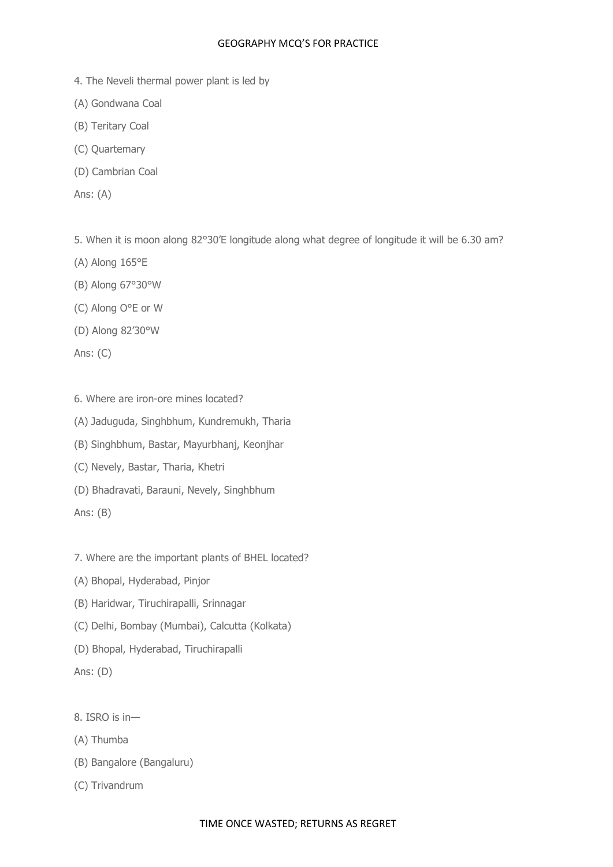- 4. The Neveli thermal power plant is led by
- (A) Gondwana Coal
- (B) Teritary Coal
- (C) Quartemary
- (D) Cambrian Coal
- Ans: (A)

5. When it is moon along 82°30'E longitude along what degree of longitude it will be 6.30 am?

- (A) Along 165°E
- (B) Along 67°30°W
- (C) Along O°E or W
- (D) Along 82'30°W

Ans: (C)

- 6. Where are iron-ore mines located?
- (A) Jaduguda, Singhbhum, Kundremukh, Tharia
- (B) Singhbhum, Bastar, Mayurbhanj, Keonjhar
- (C) Nevely, Bastar, Tharia, Khetri
- (D) Bhadravati, Barauni, Nevely, Singhbhum
- Ans: (B)
- 7. Where are the important plants of BHEL located?
- (A) Bhopal, Hyderabad, Pinjor
- (B) Haridwar, Tiruchirapalli, Srinnagar
- (C) Delhi, Bombay (Mumbai), Calcutta (Kolkata)
- (D) Bhopal, Hyderabad, Tiruchirapalli

Ans: (D)

- 8. ISRO is in—
- (A) Thumba
- (B) Bangalore (Bangaluru)
- (C) Trivandrum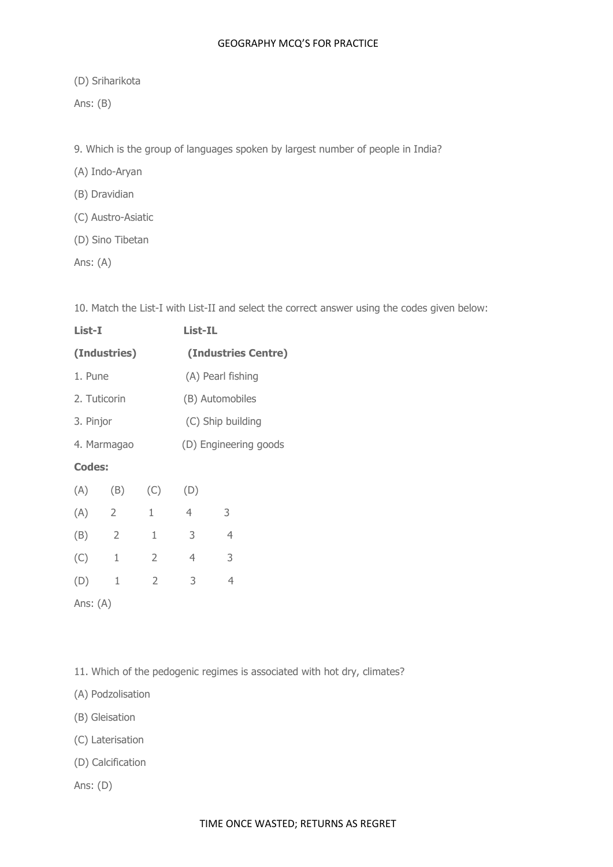(D) Sriharikota

Ans: (B)

9. Which is the group of languages spoken by largest number of people in India?

(A) Indo-Aryan

(B) Dravidian

- (C) Austro-Asiatic
- (D) Sino Tibetan

Ans: (A)

10. Match the List-I with List-II and select the correct answer using the codes given below:

| List-I         |                |                   |                       |                                       |  |
|----------------|----------------|-------------------|-----------------------|---------------------------------------|--|
|                |                |                   |                       |                                       |  |
| 1. Pune        |                | (A) Pearl fishing |                       |                                       |  |
| 2. Tuticorin   |                | (B) Automobiles   |                       |                                       |  |
| 3. Pinjor      |                | (C) Ship building |                       |                                       |  |
| 4. Marmagao    |                |                   | (D) Engineering goods |                                       |  |
| <b>Codes:</b>  |                |                   |                       |                                       |  |
| (B)            | (C)            | (D)               |                       |                                       |  |
| $\overline{2}$ | 1              | $\overline{4}$    | 3                     |                                       |  |
| $\overline{2}$ | 1              | 3                 | 4                     |                                       |  |
| 1              | $\overline{2}$ | 4                 | 3                     |                                       |  |
| 1              | 2              | 3                 | 4                     |                                       |  |
|                |                | (Industries)      |                       | <b>List-IL</b><br>(Industries Centre) |  |

Ans: (A)

11. Which of the pedogenic regimes is associated with hot dry, climates?

- (A) Podzolisation
- (B) Gleisation
- (C) Laterisation
- (D) Calcification

Ans: (D)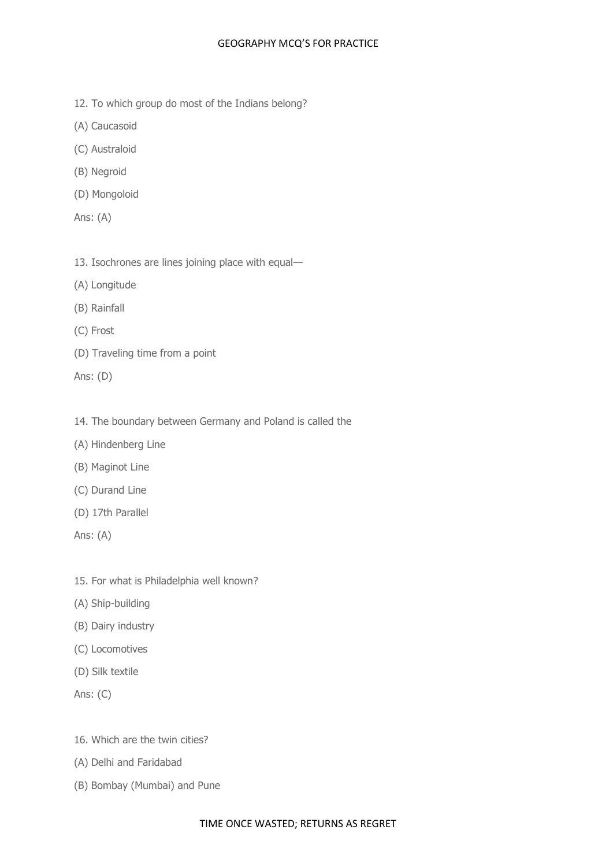- 12. To which group do most of the Indians belong?
- (A) Caucasoid
- (C) Australoid
- (B) Negroid
- (D) Mongoloid
- Ans: (A)
- 13. Isochrones are lines joining place with equal—
- (A) Longitude
- (B) Rainfall
- (C) Frost
- (D) Traveling time from a point
- Ans: (D)
- 14. The boundary between Germany and Poland is called the
- (A) Hindenberg Line
- (B) Maginot Line
- (C) Durand Line
- (D) 17th Parallel
- Ans: (A)
- 15. For what is Philadelphia well known?
- (A) Ship-building
- (B) Dairy industry
- (C) Locomotives
- (D) Silk textile
- Ans: (C)
- 16. Which are the twin cities?
- (A) Delhi and Faridabad
- (B) Bombay (Mumbai) and Pune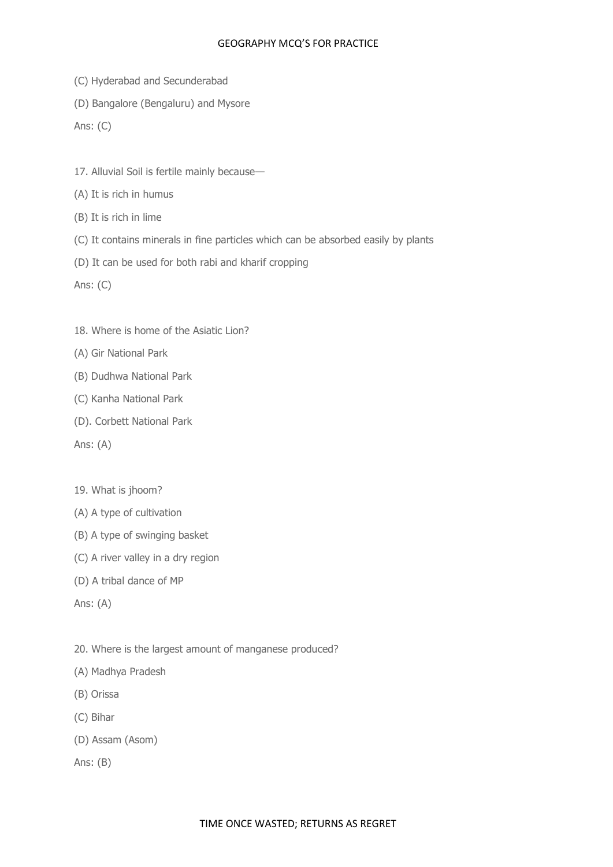- (C) Hyderabad and Secunderabad
- (D) Bangalore (Bengaluru) and Mysore

Ans: (C)

- 17. Alluvial Soil is fertile mainly because—
- (A) It is rich in humus
- (B) It is rich in lime
- (C) It contains minerals in fine particles which can be absorbed easily by plants
- (D) It can be used for both rabi and kharif cropping

Ans: (C)

- 18. Where is home of the Asiatic Lion?
- (A) Gir National Park
- (B) Dudhwa National Park
- (C) Kanha National Park
- (D). Corbett National Park
- Ans: (A)
- 19. What is jhoom?
- (A) A type of cultivation
- (B) A type of swinging basket
- (C) A river valley in a dry region
- (D) A tribal dance of MP
- Ans: (A)
- 20. Where is the largest amount of manganese produced?
- (A) Madhya Pradesh
- (B) Orissa
- (C) Bihar
- (D) Assam (Asom)
- Ans: (B)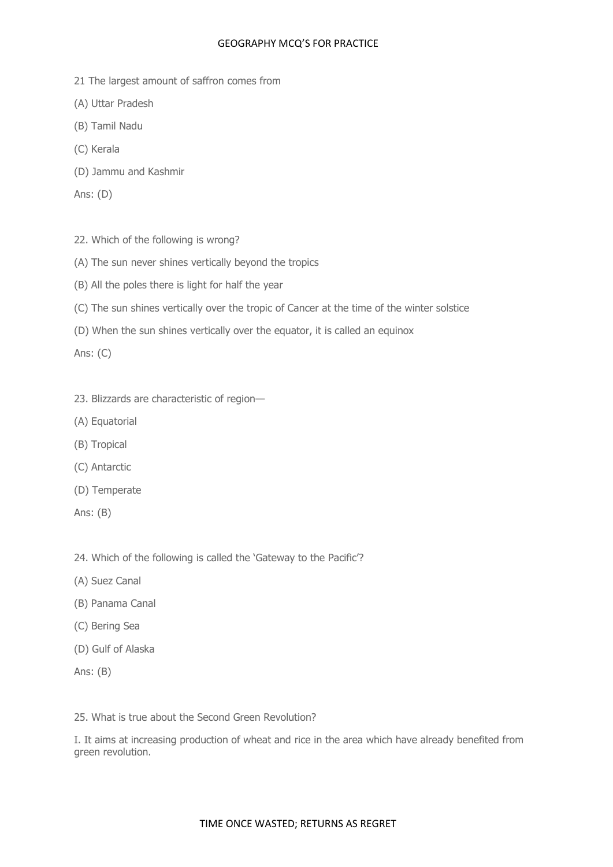- 21 The largest amount of saffron comes from
- (A) Uttar Pradesh
- (B) Tamil Nadu
- (C) Kerala
- (D) Jammu and Kashmir
- Ans: (D)
- 22. Which of the following is wrong?
- (A) The sun never shines vertically beyond the tropics
- (B) All the poles there is light for half the year
- (C) The sun shines vertically over the tropic of Cancer at the time of the winter solstice
- (D) When the sun shines vertically over the equator, it is called an equinox

Ans: (C)

- 23. Blizzards are characteristic of region—
- (A) Equatorial
- (B) Tropical
- (C) Antarctic
- (D) Temperate
- Ans: (B)

24. Which of the following is called the 'Gateway to the Pacific'?

- (A) Suez Canal
- (B) Panama Canal
- (C) Bering Sea
- (D) Gulf of Alaska
- Ans: (B)

25. What is true about the Second Green Revolution?

I. It aims at increasing production of wheat and rice in the area which have already benefited from green revolution.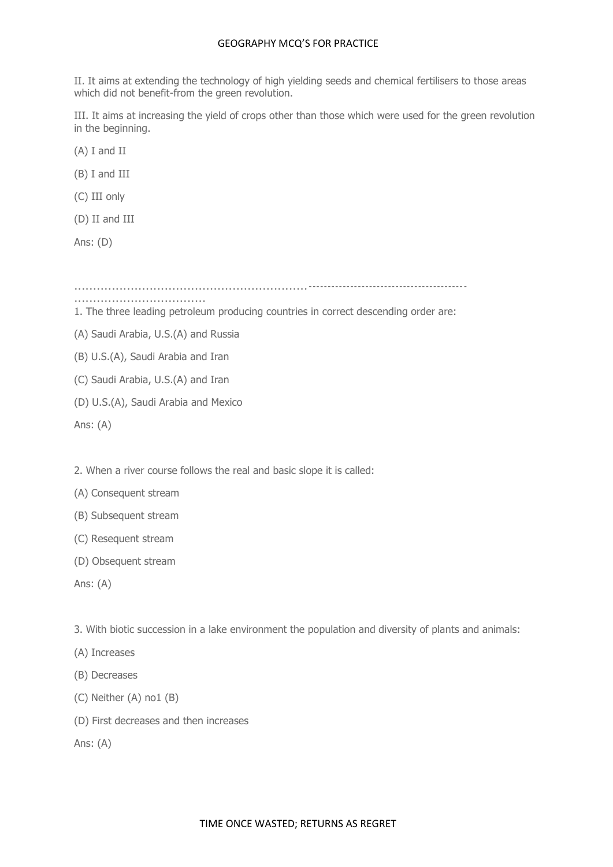II. It aims at extending the technology of high yielding seeds and chemical fertilisers to those areas which did not benefit-from the green revolution.

III. It aims at increasing the yield of crops other than those which were used for the green revolution in the beginning.

(A) I and II

(B) I and III

(C) III only

(D) II and III

Ans: (D)

..............................................................------------------------------------------

1. The three leading petroleum producing countries in correct descending order are:

(A) Saudi Arabia, U.S.(A) and Russia

(B) U.S.(A), Saudi Arabia and Iran

...................................

(C) Saudi Arabia, U.S.(A) and Iran

(D) U.S.(A), Saudi Arabia and Mexico

Ans: (A)

2. When a river course follows the real and basic slope it is called:

(A) Consequent stream

(B) Subsequent stream

(C) Resequent stream

(D) Obsequent stream

Ans: (A)

3. With biotic succession in a lake environment the population and diversity of plants and animals:

(A) Increases

(B) Decreases

(C) Neither (A) no1 (B)

(D) First decreases and then increases

Ans: (A)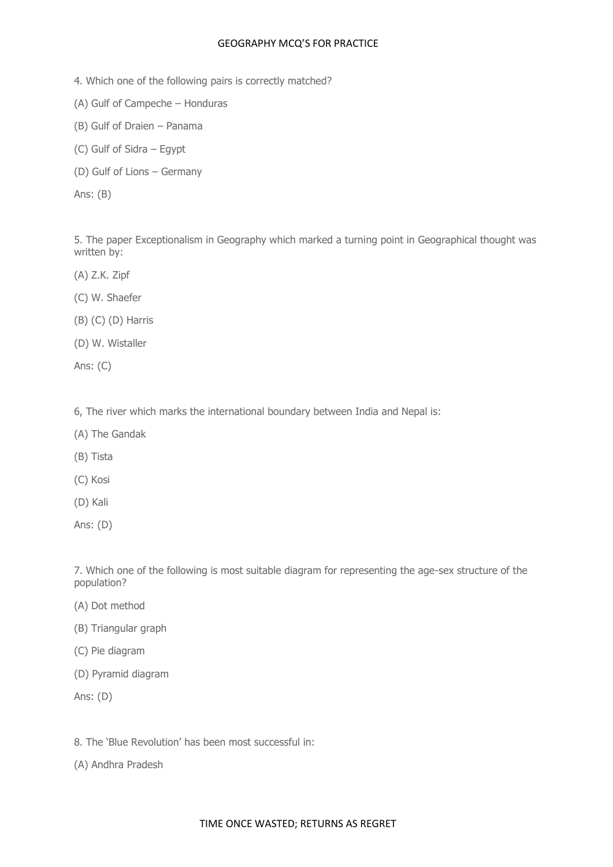- 4. Which one of the following pairs is correctly matched?
- (A) Gulf of Campeche Honduras
- (B) Gulf of Draien Panama
- (C) Gulf of Sidra Egypt
- (D) Gulf of Lions Germany

Ans: (B)

5. The paper Exceptionalism in Geography which marked a turning point in Geographical thought was written by:

- (A) Z.K. Zipf
- (C) W. Shaefer
- (B) (C) (D) Harris
- (D) W. Wistaller
- Ans: (C)

6, The river which marks the international boundary between India and Nepal is:

- (A) The Gandak
- (B) Tista
- (C) Kosi
- (D) Kali
- Ans: (D)

7. Which one of the following is most suitable diagram for representing the age-sex structure of the population?

- (A) Dot method
- (B) Triangular graph
- (C) Pie diagram
- (D) Pyramid diagram

Ans: (D)

8. The 'Blue Revolution' has been most successful in:

(A) Andhra Pradesh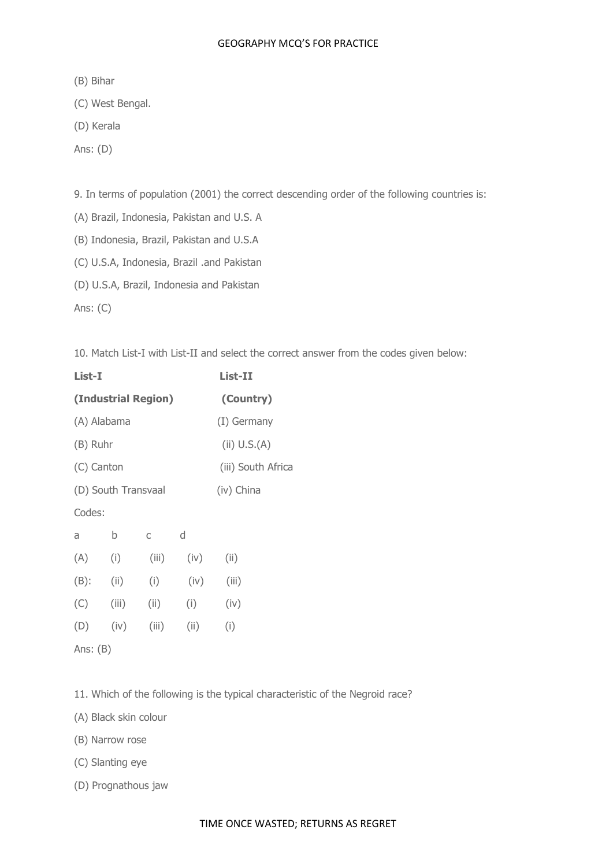(B) Bihar

(C) West Bengal.

(D) Kerala

Ans: (D)

9. In terms of population (2001) the correct descending order of the following countries is:

(A) Brazil, Indonesia, Pakistan and U.S. A

(B) Indonesia, Brazil, Pakistan and U.S.A

(C) U.S.A, Indonesia, Brazil .and Pakistan

(D) U.S.A, Brazil, Indonesia and Pakistan

Ans: (C)

10. Match List-I with List-II and select the correct answer from the codes given below:

| List-I                           |                     |           |      | List-II      |  |  |  |
|----------------------------------|---------------------|-----------|------|--------------|--|--|--|
|                                  | (Industrial Region) | (Country) |      |              |  |  |  |
| (A) Alabama                      |                     |           |      | (I) Germany  |  |  |  |
| (B) Ruhr                         |                     |           |      | (ii) U.S.(A) |  |  |  |
| (C) Canton<br>(iii) South Africa |                     |           |      |              |  |  |  |
| (D) South Transvaal              |                     |           |      | (iv) China   |  |  |  |
|                                  | Codes:              |           |      |              |  |  |  |
| a                                | b                   | C         | d    |              |  |  |  |
| (A)                              | (i)                 | (iii)     | (iv) | (ii)         |  |  |  |
| $(B)$ :                          | (ii)                | (i)       | (iv) | (iii)        |  |  |  |
| (C)                              | (iii)               | (ii)      | (i)  | (iv)         |  |  |  |
| (D)                              | (iv)                | (iii)     | (ii) | (i)          |  |  |  |
| Ans: $(B)$                       |                     |           |      |              |  |  |  |

11. Which of the following is the typical characteristic of the Negroid race?

(A) Black skin colour

(B) Narrow rose

(C) Slanting eye

(D) Prognathous jaw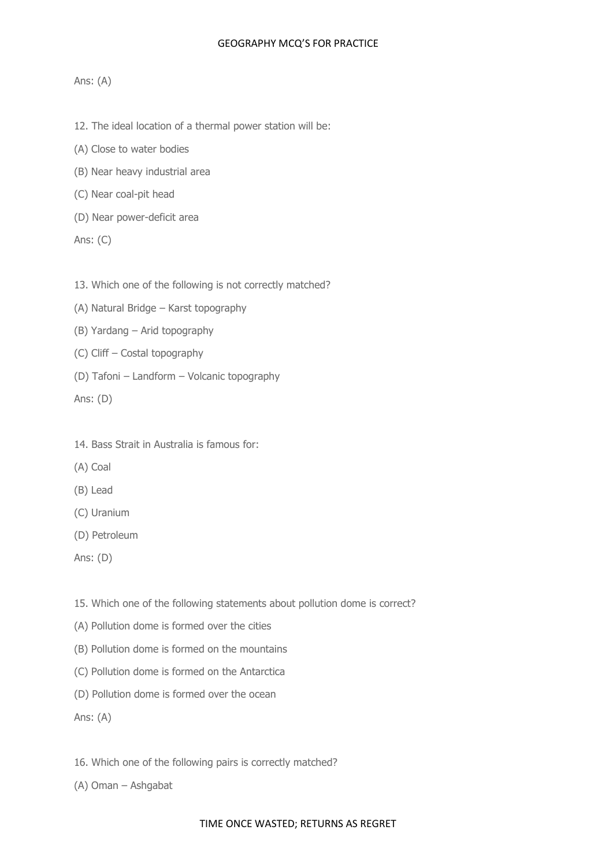## Ans: (A)

- 12. The ideal location of a thermal power station will be:
- (A) Close to water bodies
- (B) Near heavy industrial area
- (C) Near coal-pit head
- (D) Near power-deficit area
- Ans: (C)
- 13. Which one of the following is not correctly matched?
- (A) Natural Bridge Karst topography
- (B) Yardang Arid topography
- (C) Cliff Costal topography
- (D) Tafoni Landform Volcanic topography

Ans: (D)

- 14. Bass Strait in Australia is famous for:
- (A) Coal
- (B) Lead
- (C) Uranium
- (D) Petroleum
- Ans: (D)
- 15. Which one of the following statements about pollution dome is correct?
- (A) Pollution dome is formed over the cities
- (B) Pollution dome is formed on the mountains
- (C) Pollution dome is formed on the Antarctica
- (D) Pollution dome is formed over the ocean

Ans: (A)

16. Which one of the following pairs is correctly matched?

(A) Oman – Ashgabat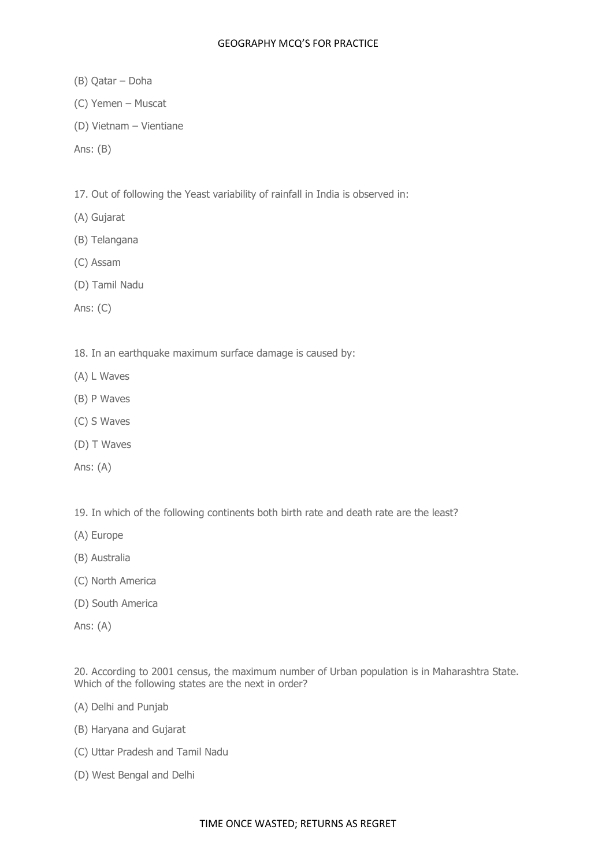- (B) Qatar Doha
- (C) Yemen Muscat
- (D) Vietnam Vientiane
- Ans: (B)

17. Out of following the Yeast variability of rainfall in India is observed in:

- (A) Gujarat
- (B) Telangana
- (C) Assam
- (D) Tamil Nadu

Ans: (C)

18. In an earthquake maximum surface damage is caused by:

- (A) L Waves
- (B) P Waves
- (C) S Waves
- (D) T Waves
- Ans: (A)

19. In which of the following continents both birth rate and death rate are the least?

- (A) Europe
- (B) Australia
- (C) North America
- (D) South America
- Ans: (A)

20. According to 2001 census, the maximum number of Urban population is in Maharashtra State. Which of the following states are the next in order?

- (A) Delhi and Punjab
- (B) Haryana and Gujarat
- (C) Uttar Pradesh and Tamil Nadu
- (D) West Bengal and Delhi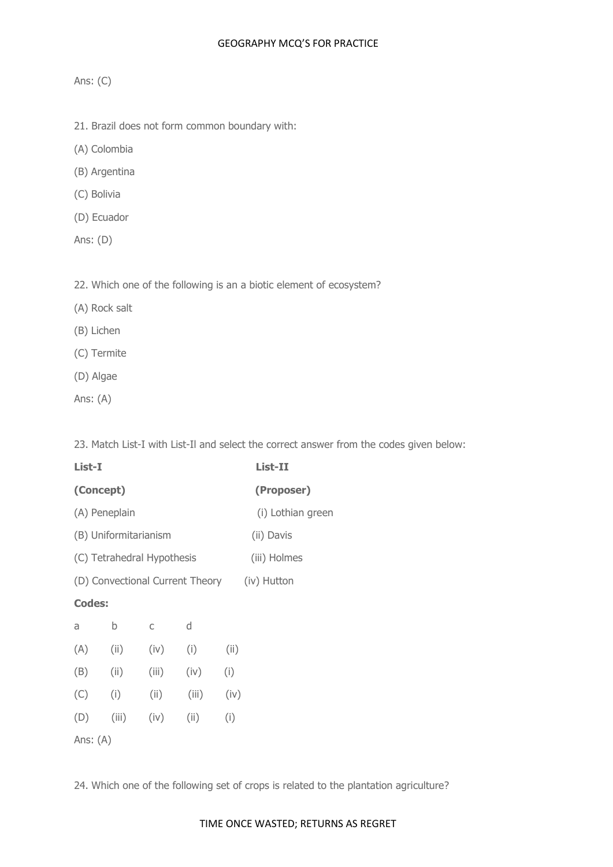# Ans: (C)

- 21. Brazil does not form common boundary with:
- (A) Colombia
- (B) Argentina
- (C) Bolivia
- (D) Ecuador
- Ans: (D)

22. Which one of the following is an a biotic element of ecosystem?

- (A) Rock salt
- (B) Lichen
- (C) Termite
- (D) Algae
- Ans: (A)

23. Match List-I with List-Il and select the correct answer from the codes given below:

| List-I                                         |               |       |       | List-II           |  |  |  |
|------------------------------------------------|---------------|-------|-------|-------------------|--|--|--|
| (Concept)                                      |               |       |       | (Proposer)        |  |  |  |
|                                                | (A) Peneplain |       |       | (i) Lothian green |  |  |  |
| (B) Uniformitarianism                          |               |       |       | (ii) Davis        |  |  |  |
| (C) Tetrahedral Hypothesis                     |               |       |       | (iii) Holmes      |  |  |  |
| (D) Convectional Current Theory<br>(iv) Hutton |               |       |       |                   |  |  |  |
| <b>Codes:</b>                                  |               |       |       |                   |  |  |  |
| a                                              | b             | C     | d     |                   |  |  |  |
| (A)                                            | (ii)          | (iv)  | (i)   | (ii)              |  |  |  |
| (B)                                            | (ii)          | (iii) | (iv)  | (i)               |  |  |  |
| (C)                                            | (i)           | (ii)  | (iii) | (iv)              |  |  |  |
| (D)                                            | (iii)         | (iv)  | (ii)  | (i)               |  |  |  |
| Ans: $(A)$                                     |               |       |       |                   |  |  |  |

24. Which one of the following set of crops is related to the plantation agriculture?

## TIME ONCE WASTED; RETURNS AS REGRET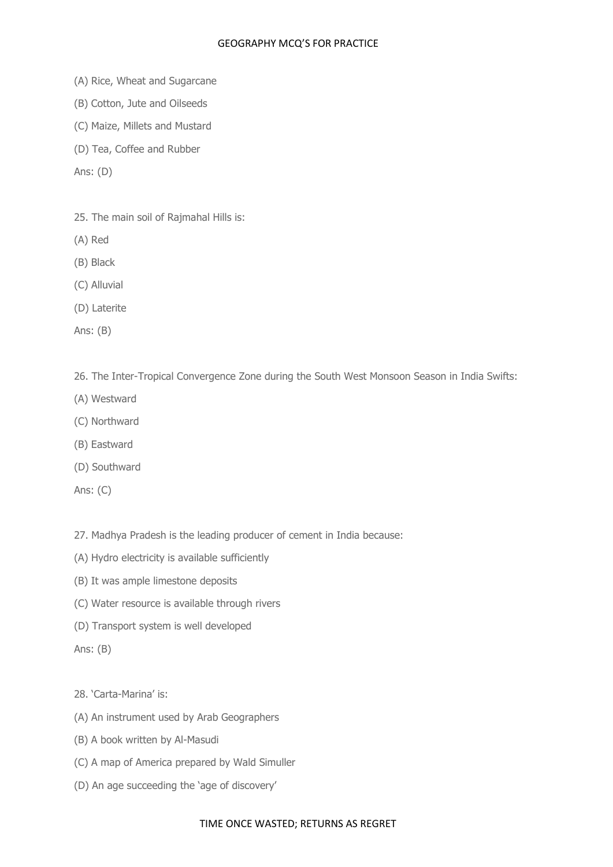- (A) Rice, Wheat and Sugarcane
- (B) Cotton, Jute and Oilseeds
- (C) Maize, Millets and Mustard
- (D) Tea, Coffee and Rubber
- Ans: (D)
- 25. The main soil of Rajmahal Hills is:
- (A) Red
- (B) Black
- (C) Alluvial
- (D) Laterite
- Ans: (B)

26. The Inter-Tropical Convergence Zone during the South West Monsoon Season in India Swifts:

- (A) Westward
- (C) Northward
- (B) Eastward
- (D) Southward
- Ans: (C)
- 27. Madhya Pradesh is the leading producer of cement in India because:
- (A) Hydro electricity is available sufficiently
- (B) It was ample limestone deposits
- (C) Water resource is available through rivers
- (D) Transport system is well developed
- Ans: (B)

28. 'Carta-Marina' is:

- (A) An instrument used by Arab Geographers
- (B) A book written by Al-Masudi
- (C) A map of America prepared by Wald Simuller
- (D) An age succeeding the 'age of discovery'

#### TIME ONCE WASTED; RETURNS AS REGRET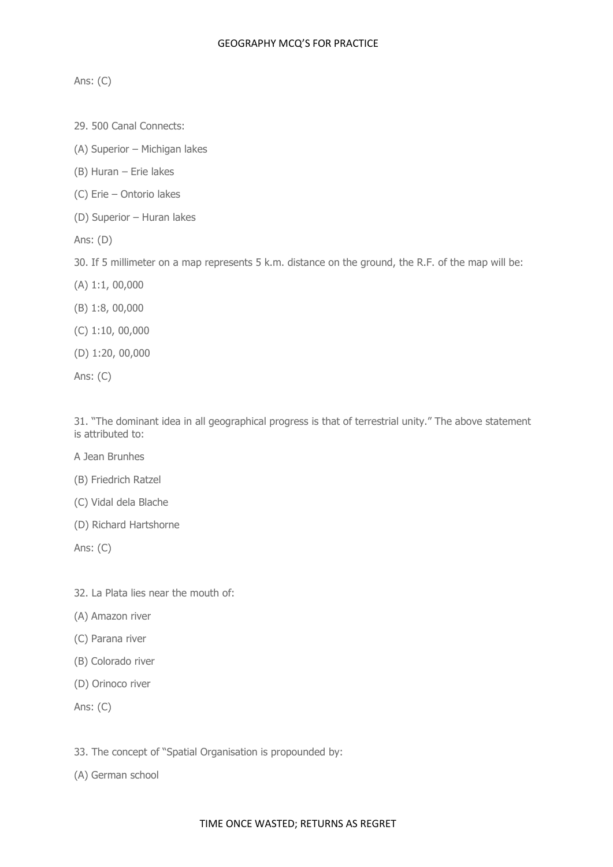Ans: (C)

- 29. 500 Canal Connects:
- (A) Superior Michigan lakes
- (B) Huran Erie lakes
- (C) Erie Ontorio lakes
- (D) Superior Huran lakes
- Ans: (D)
- 30. If 5 millimeter on a map represents 5 k.m. distance on the ground, the R.F. of the map will be:
- (A) 1:1, 00,000
- (B) 1:8, 00,000
- (C) 1:10, 00,000
- (D) 1:20, 00,000
- Ans: (C)

31. "The dominant idea in all geographical progress is that of terrestrial unity." The above statement is attributed to:

- A Jean Brunhes
- (B) Friedrich Ratzel
- (C) Vidal dela Blache
- (D) Richard Hartshorne

Ans: (C)

- 32. La Plata lies near the mouth of:
- (A) Amazon river
- (C) Parana river
- (B) Colorado river
- (D) Orinoco river
- Ans: (C)
- 33. The concept of "Spatial Organisation is propounded by:
- (A) German school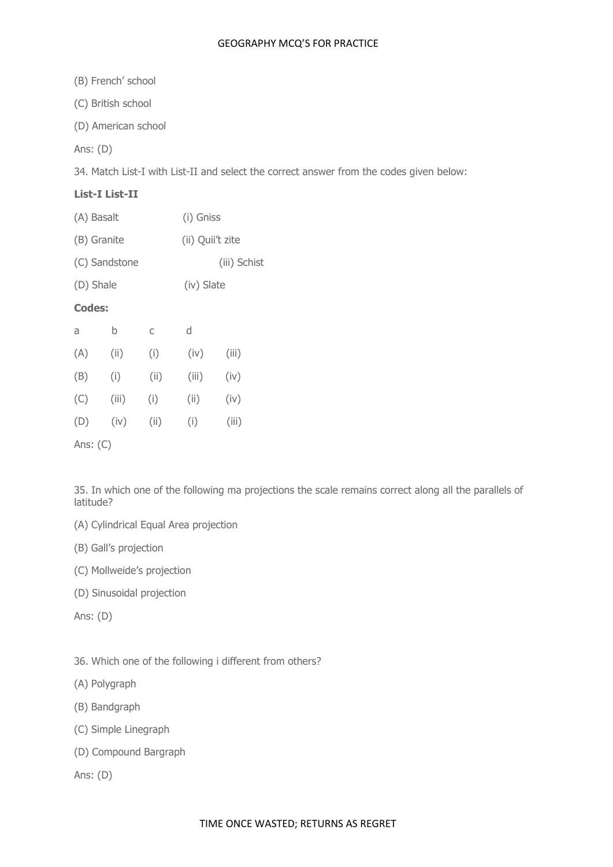(B) French' school

(C) British school

(D) American school

Ans: (D)

34. Match List-I with List-II and select the correct answer from the codes given below:

## **List-I List-II**

| (A) Basalt    |   |   | (i) Gniss        |  |  |
|---------------|---|---|------------------|--|--|
| (B) Granite   |   |   | (ii) Quii't zite |  |  |
| (C) Sandstone |   |   | (iii) Schist     |  |  |
| (D) Shale     |   |   | (iv) Slate       |  |  |
| <b>Codes:</b> |   |   |                  |  |  |
| a             | h | C | d                |  |  |
|               |   |   |                  |  |  |

| (A) | (iii) | (i)   | (iv)  | (iii) |
|-----|-------|-------|-------|-------|
| (B) | (i)   | (iii) | (iii) | (iv)  |
| (C) | (iii) | (i)   | (ii)  | (iv)  |
| (D) | (iv)  | (ii)  | (i)   | (iii) |
|     |       |       |       |       |

Ans: (C)

35. In which one of the following ma projections the scale remains correct along all the parallels of latitude?

- (A) Cylindrical Equal Area projection
- (B) Gall's projection
- (C) Mollweide's projection
- (D) Sinusoidal projection

Ans: (D)

- 36. Which one of the following i different from others?
- (A) Polygraph
- (B) Bandgraph
- (C) Simple Linegraph
- (D) Compound Bargraph

Ans: (D)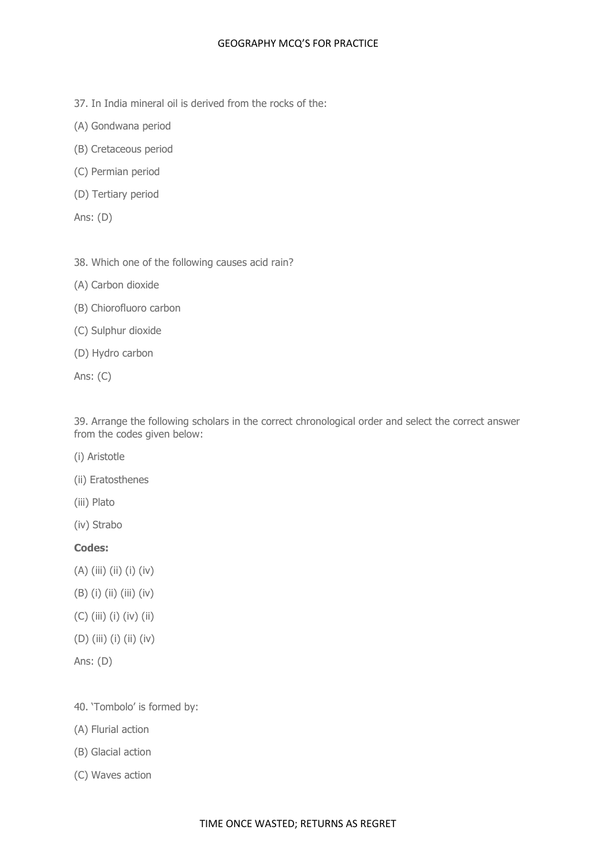- 37. In India mineral oil is derived from the rocks of the:
- (A) Gondwana period
- (B) Cretaceous period
- (C) Permian period
- (D) Tertiary period
- Ans: (D)
- 38. Which one of the following causes acid rain?
- (A) Carbon dioxide
- (B) Chiorofluoro carbon
- (C) Sulphur dioxide
- (D) Hydro carbon
- Ans: (C)

39. Arrange the following scholars in the correct chronological order and select the correct answer from the codes given below:

- (i) Aristotle
- (ii) Eratosthenes
- (iii) Plato
- (iv) Strabo

# **Codes:**

- (A) (iii) (ii) (i) (iv)
- (B) (i) (ii) (iii) (iv)
- (C) (iii) (i) (iv) (ii)
- (D) (iii) (i) (ii) (iv)
- Ans: (D)

40. 'Tombolo' is formed by:

- (A) Flurial action
- (B) Glacial action
- (C) Waves action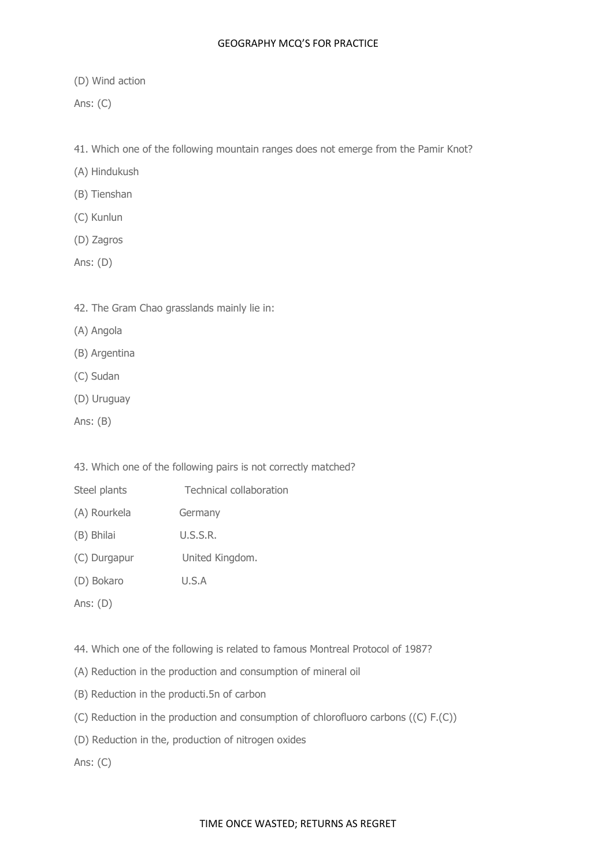(D) Wind action

Ans: (C)

41. Which one of the following mountain ranges does not emerge from the Pamir Knot?

(A) Hindukush

(B) Tienshan

- (C) Kunlun
- (D) Zagros
- Ans: (D)
- 42. The Gram Chao grasslands mainly lie in:
- (A) Angola
- (B) Argentina
- (C) Sudan
- (D) Uruguay
- Ans: (B)

43. Which one of the following pairs is not correctly matched?

- Steel plants Technical collaboration
- (A) Rourkela Germany
- (B) Bhilai U.S.S.R.
- (C) Durgapur United Kingdom.
- (D) Bokaro U.S.A
- Ans: (D)

44. Which one of the following is related to famous Montreal Protocol of 1987?

- (A) Reduction in the production and consumption of mineral oil
- (B) Reduction in the producti.5n of carbon
- (C) Reduction in the production and consumption of chlorofluoro carbons ((C) F.(C))
- (D) Reduction in the, production of nitrogen oxides

Ans: (C)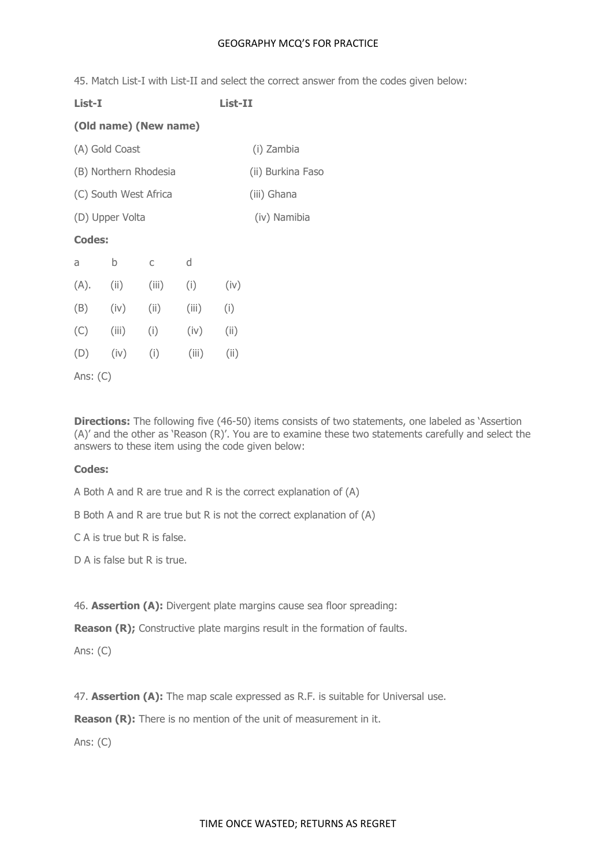45. Match List-I with List-II and select the correct answer from the codes given below:

**List-I List-II**

# **(Old name) (New name)**

| (A) Gold Coast | (i) Zambia |
|----------------|------------|
|                |            |

- (B) Northern Rhodesia (ii) Burkina Faso
- (C) South West Africa (iii) Ghana
- (D) Upper Volta (iv) Namibia

# **Codes:**

| a    | b     | C     | d     |       |
|------|-------|-------|-------|-------|
| (A). | (i)   | (iii) | (i)   | (iv)  |
| (B)  | (iv)  | (iii) | (iii) | (i)   |
| (C)  | (iii) | (i)   | (iv)  | (iii) |
| (D)  | (iv)  | (i)   | (iii) | (i)   |
|      |       |       |       |       |

Ans: (C)

**Directions:** The following five (46-50) items consists of two statements, one labeled as 'Assertion (A)' and the other as 'Reason (R)'. You are to examine these two statements carefully and select the answers to these item using the code given below:

# **Codes:**

A Both A and R are true and R is the correct explanation of (A)

B Both A and R are true but R is not the correct explanation of (A)

C A is true but R is false.

D A is false but R is true.

46. **Assertion (A):** Divergent plate margins cause sea floor spreading:

**Reason (R);** Constructive plate margins result in the formation of faults.

Ans: (C)

47. **Assertion (A):** The map scale expressed as R.F. is suitable for Universal use.

**Reason (R):** There is no mention of the unit of measurement in it.

Ans: (C)